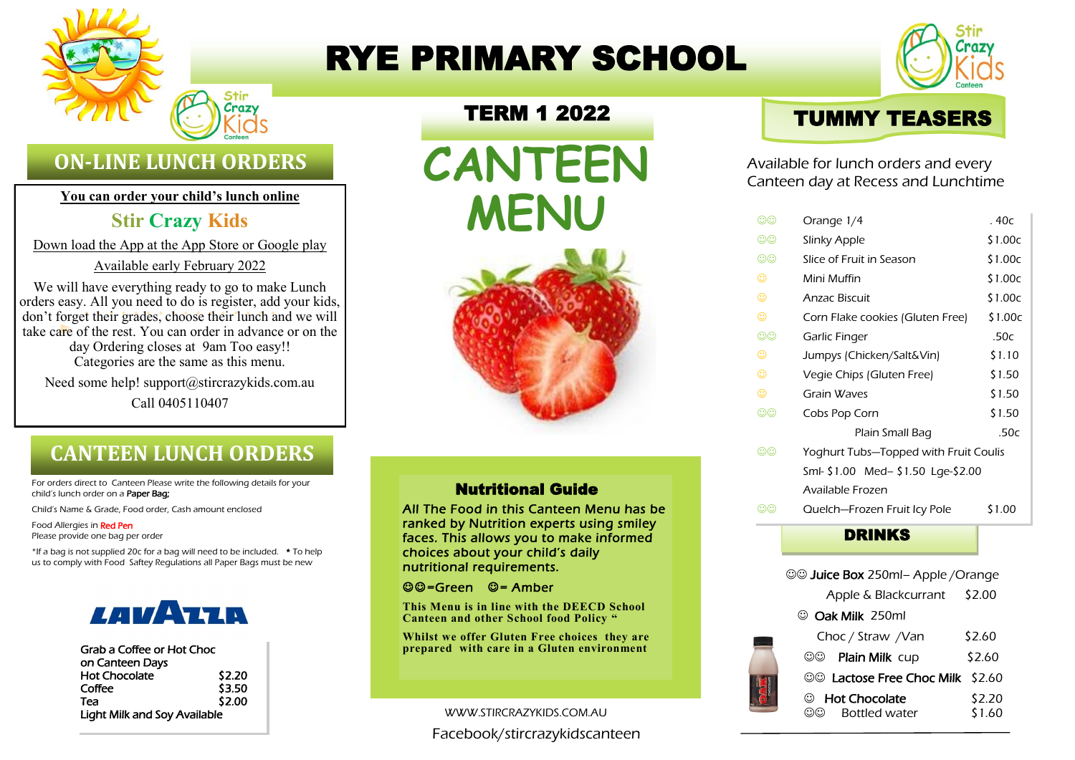

# RYE PRIMARY SCHOOL



# **ON-LINE LUNCH ORDERS**

**You can order your child's lunch online**

## **Stir Crazy Kids**

Down load the App at the App Store or Google play

Available early February 2022

We will have everything ready to go to make Lunch orders easy. All you need to do is register, add your kids, don't forget their grades, choose their lunch and we will take care of the rest. You can order in advance or on the day Ordering closes at 9am Too easy!! Categories are the same as this menu.

Need some help! support@stircrazykids.com.au Call 0405110407

# **CANTEEN LUNCH ORDERS**

For orders direct to Canteen Please write the following details for your child's lunch order on a Paper Bag;

Child's Name & Grade, Food order, Cash amount enclosed

Food Allergies in Red Pen Please provide one bag per order

\*If a bag is not supplied 20c for a bag will need to be included. \* To help us to comply with Food Saftey Regulations all Paper Bags must be new



| Grab a Coffee or Hot Choc           |        |  |
|-------------------------------------|--------|--|
| on Canteen Days                     |        |  |
| <b>Hot Chocolate</b>                | \$2.20 |  |
| Coffee                              | \$3.50 |  |
| Теа                                 | \$2.00 |  |
| <b>Light Milk and Soy Available</b> |        |  |

## TERM 1 2022

**CANTEEN MENU**



#### Nutritional Guide

All The Food in this Canteen Menu has be ranked by Nutrition experts using smiley faces. This allows you to make informed choices about your child's daily nutritional requirements.

☺☺=Green ☺= Amber

**This Menu is in line with the DEECD School Canteen and other School food Policy "**

**Whilst we offer Gluten Free choices they are prepared with care in a Gluten environment**

#### WWW.STIRCRAZYKIDS.COM.AU

Facebook/stircrazykidscanteen



Available for lunch orders and every Canteen day at Recess and Lunchtime

| $\odot\odot$   | Orange 1/4                            | . 40c   |
|----------------|---------------------------------------|---------|
| $\odot\odot$   | Slinky Apple                          | \$1.00c |
| $\circledcirc$ | Slice of Fruit in Season              | \$1.00c |
| ☺              | Mini Muffin                           | \$1.00c |
| ☺              | <b>Anzac Biscuit</b>                  | \$1.00c |
| ☺              | Corn Flake cookies (Gluten Free)      | \$1.00c |
| $\odot\odot$   | Garlic Finger                         | .50c    |
| ☺              | Jumpys (Chicken/Salt&Vin)             | \$1.10  |
| ☺              | Vegie Chips (Gluten Free)             | \$1.50  |
| ☺              | Grain Waves                           | \$1.50  |
| $\odot\odot$   | Cobs Pop Corn                         | \$1.50  |
|                | Plain Small Bag                       | .50c    |
| ගග             | Yoghurt Tubs-Topped with Fruit Coulis |         |
|                | Sml- \$1.00 Med- \$1.50 Lge-\$2.00    |         |
|                | Available Frozen                      |         |
| ගග             | Quelch-Frozen Fruit Icy Pole          | \$1.00  |
|                | <b>DRINKS</b>                         |         |
|                |                                       |         |

|                  | ©© Juice Box 250ml- Apple / Orange |                  |  |  |
|------------------|------------------------------------|------------------|--|--|
|                  | Apple & Blackcurrant               | \$2.00           |  |  |
| © Oak Milk 250ml |                                    |                  |  |  |
|                  | Choc / Straw /Van                  | \$2.60           |  |  |
|                  | Plain Milk cup<br>ගග               | \$2.60           |  |  |
|                  | ©© Lactose Free Choc Milk \$2.60   |                  |  |  |
|                  | © Hot Chocolate<br>Bottled water   | \$2.20<br>\$1.60 |  |  |